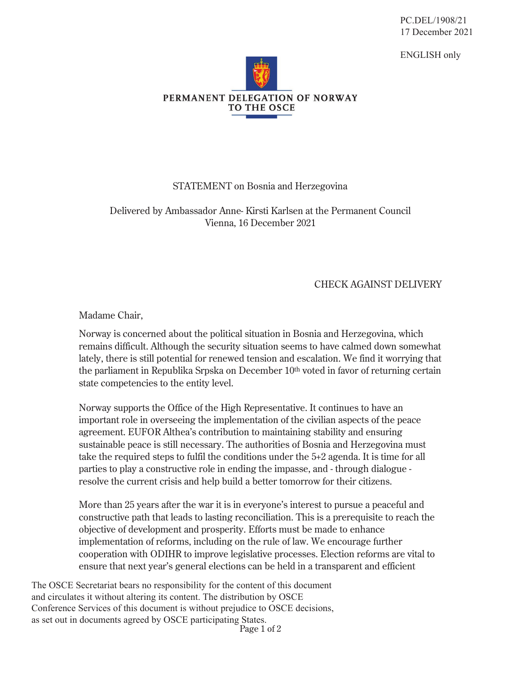PC.DEL/1908/21 17 December 2021

ENGLISH only



## STATEMENT on Bosnia and Herzegovina

Delivered by Ambassador Anne- Kirsti Karlsen at the Permanent Council Vienna, 16 December 2021

## CHECK AGAINST DELIVERY

Madame Chair,

Norway is concerned about the political situation in Bosnia and Herzegovina, which remains difficult. Although the security situation seems to have calmed down somewhat lately, there is still potential for renewed tension and escalation. We find it worrying that the parliament in Republika Srpska on December 10th voted in favor of returning certain state competencies to the entity level.

Norway supports the Office of the High Representative. It continues to have an important role in overseeing the implementation of the civilian aspects of the peace agreement. EUFOR Althea's contribution to maintaining stability and ensuring sustainable peace is still necessary. The authorities of Bosnia and Herzegovina must take the required steps to fulfil the conditions under the 5+2 agenda. It is time for all parties to play a constructive role in ending the impasse, and - through dialogue resolve the current crisis and help build a better tomorrow for their citizens.

More than 25 years after the war it is in everyone's interest to pursue a peaceful and constructive path that leads to lasting reconciliation. This is a prerequisite to reach the objective of development and prosperity. Efforts must be made to enhance implementation of reforms, including on the rule of law. We encourage further cooperation with ODIHR to improve legislative processes. Election reforms are vital to ensure that next year's general elections can be held in a transparent and efficient

Page 1 of 2 The OSCE Secretariat bears no responsibility for the content of this document and circulates it without altering its content. The distribution by OSCE Conference Services of this document is without prejudice to OSCE decisions, as set out in documents agreed by OSCE participating States.